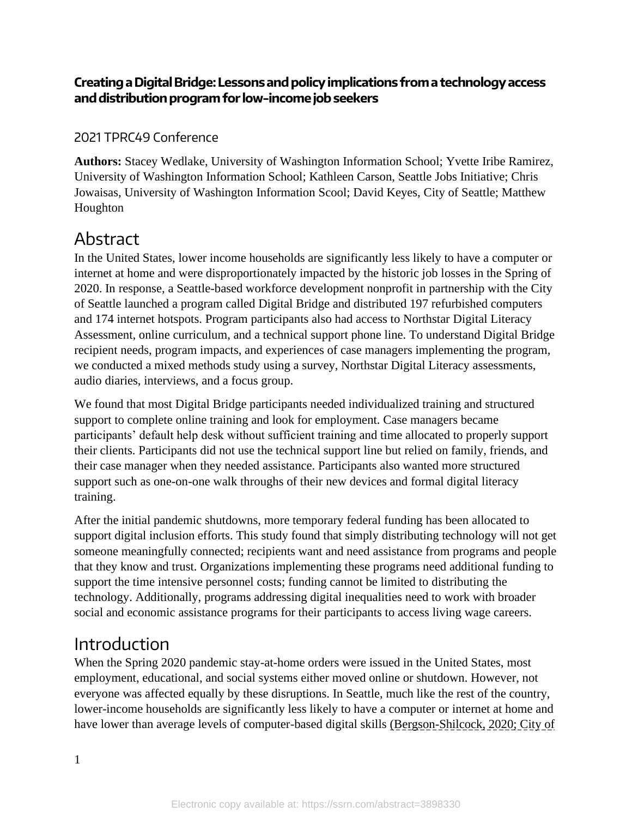### **Creating a Digital Bridge: Lessons and policy implications from a technology access and distribution program for low-incomejob seekers**

### 2021 TPRC49 Conference

**Authors:** Stacey Wedlake, University of Washington Information School; Yvette Iribe Ramirez, University of Washington Information School; Kathleen Carson, Seattle Jobs Initiative; Chris Jowaisas, University of Washington Information Scool; David Keyes, City of Seattle; Matthew Houghton

# Abstract

In the United States, lower income households are significantly less likely to have a computer or internet at home and were disproportionately impacted by the historic job losses in the Spring of 2020. In response, a Seattle-based workforce development nonprofit in partnership with the City of Seattle launched a program called Digital Bridge and distributed 197 refurbished computers and 174 internet hotspots. Program participants also had access to Northstar Digital Literacy Assessment, online curriculum, and a technical support phone line. To understand Digital Bridge recipient needs, program impacts, and experiences of case managers implementing the program, we conducted a mixed methods study using a survey, Northstar Digital Literacy assessments, audio diaries, interviews, and a focus group.

We found that most Digital Bridge participants needed individualized training and structured support to complete online training and look for employment. Case managers became participants' default help desk without sufficient training and time allocated to properly support their clients. Participants did not use the technical support line but relied on family, friends, and their case manager when they needed assistance. Participants also wanted more structured support such as one-on-one walk throughs of their new devices and formal digital literacy training.

After the initial pandemic shutdowns, more temporary federal funding has been allocated to support digital inclusion efforts. This study found that simply distributing technology will not get someone meaningfully connected; recipients want and need assistance from programs and people that they know and trust. Organizations implementing these programs need additional funding to support the time intensive personnel costs; funding cannot be limited to distributing the technology. Additionally, programs addressing digital inequalities need to work with broader social and economic assistance programs for their participants to access living wage careers.

## Introduction

When the Spring 2020 pandemic stay-at-home orders were issued in the United States, most employment, educational, and social systems either moved online or shutdown. However, not everyone was affected equally by these disruptions. In Seattle, much like the rest of the country, lower-income households are significantly less likely to have a computer or internet at home and have lower than average levels of computer-based digital skills (Bergson-Shilcock, 2020; City of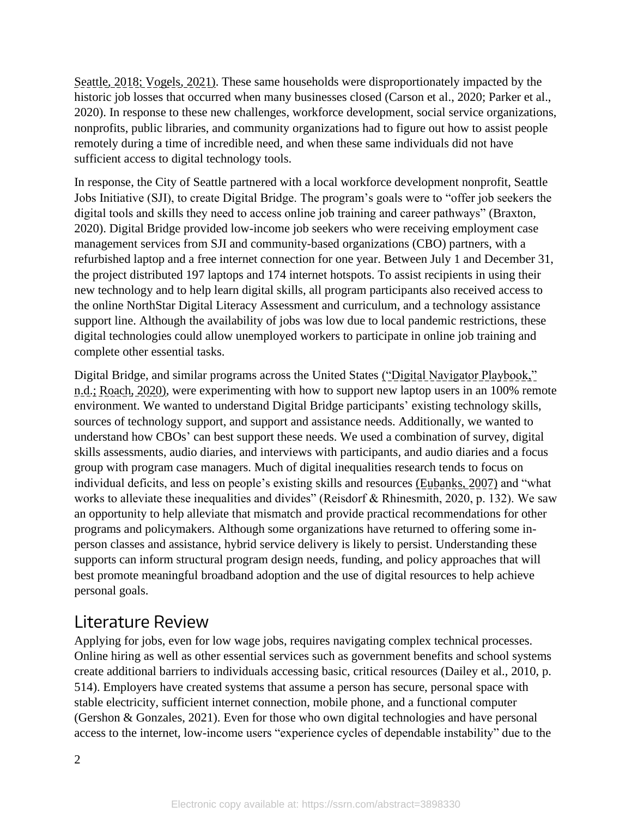Seattle, 2018; Vogels, 2021). These same households were disproportionately impacted by the historic job losses that occurred when many businesses closed (Carson et al., 2020; Parker et al., 2020). In response to these new challenges, workforce development, social service organizations, nonprofits, public libraries, and community organizations had to figure out how to assist people remotely during a time of incredible need, and when these same individuals did not have sufficient access to digital technology tools.

In response, the City of Seattle partnered with a local workforce development nonprofit, Seattle Jobs Initiative (SJI), to create Digital Bridge. The program's goals were to "offer job seekers the digital tools and skills they need to access online job training and career pathways" (Braxton, 2020). Digital Bridge provided low-income job seekers who were receiving employment case management services from SJI and community-based organizations (CBO) partners, with a refurbished laptop and a free internet connection for one year. Between July 1 and December 31, the project distributed 197 laptops and 174 internet hotspots. To assist recipients in using their new technology and to help learn digital skills, all program participants also received access to the online NorthStar Digital Literacy Assessment and curriculum, and a technology assistance support line. Although the availability of jobs was low due to local pandemic restrictions, these digital technologies could allow unemployed workers to participate in online job training and complete other essential tasks.

Digital Bridge, and similar programs across the United States ("Digital Navigator Playbook," n.d.; Roach, 2020), were experimenting with how to support new laptop users in an 100% remote environment. We wanted to understand Digital Bridge participants' existing technology skills, sources of technology support, and support and assistance needs. Additionally, we wanted to understand how CBOs' can best support these needs. We used a combination of survey, digital skills assessments, audio diaries, and interviews with participants, and audio diaries and a focus group with program case managers. Much of digital inequalities research tends to focus on individual deficits, and less on people's existing skills and resources (Eubanks, 2007) and "what works to alleviate these inequalities and divides" (Reisdorf & Rhinesmith, 2020, p. 132). We saw an opportunity to help alleviate that mismatch and provide practical recommendations for other programs and policymakers. Although some organizations have returned to offering some inperson classes and assistance, hybrid service delivery is likely to persist. Understanding these supports can inform structural program design needs, funding, and policy approaches that will best promote meaningful broadband adoption and the use of digital resources to help achieve personal goals.

## Literature Review

Applying for jobs, even for low wage jobs, requires navigating complex technical processes. Online hiring as well as other essential services such as government benefits and school systems create additional barriers to individuals accessing basic, critical resources (Dailey et al., 2010, p. 514). Employers have created systems that assume a person has secure, personal space with stable electricity, sufficient internet connection, mobile phone, and a functional computer (Gershon & Gonzales, 2021). Even for those who own digital technologies and have personal access to the internet, low-income users "experience cycles of dependable instability" due to the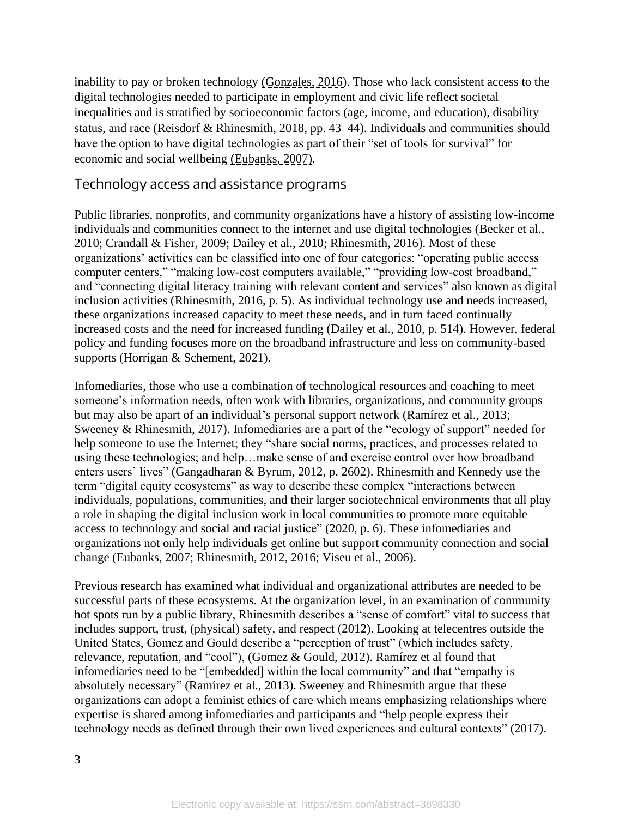inability to pay or broken technology (Gonzales, 2016). Those who lack consistent access to the digital technologies needed to participate in employment and civic life reflect societal inequalities and is stratified by socioeconomic factors (age, income, and education), disability status, and race (Reisdorf & Rhinesmith, 2018, pp. 43–44). Individuals and communities should have the option to have digital technologies as part of their "set of tools for survival" for economic and social wellbeing (Eubanks, 2007).

### Technology access and assistance programs

Public libraries, nonprofits, and community organizations have a history of assisting low-income individuals and communities connect to the internet and use digital technologies (Becker et al., 2010; Crandall & Fisher, 2009; Dailey et al., 2010; Rhinesmith, 2016). Most of these organizations' activities can be classified into one of four categories: "operating public access computer centers," "making low-cost computers available," "providing low-cost broadband," and "connecting digital literacy training with relevant content and services" also known as digital inclusion activities (Rhinesmith, 2016, p. 5). As individual technology use and needs increased, these organizations increased capacity to meet these needs, and in turn faced continually increased costs and the need for increased funding (Dailey et al., 2010, p. 514). However, federal policy and funding focuses more on the broadband infrastructure and less on community-based supports (Horrigan & Schement, 2021).

Infomediaries, those who use a combination of technological resources and coaching to meet someone's information needs, often work with libraries, organizations, and community groups but may also be apart of an individual's personal support network (Ramírez et al., 2013; Sweeney & Rhinesmith, 2017). Infomediaries are a part of the "ecology of support" needed for help someone to use the Internet; they "share social norms, practices, and processes related to using these technologies; and help…make sense of and exercise control over how broadband enters users' lives" (Gangadharan & Byrum, 2012, p. 2602). Rhinesmith and Kennedy use the term "digital equity ecosystems" as way to describe these complex "interactions between individuals, populations, communities, and their larger sociotechnical environments that all play a role in shaping the digital inclusion work in local communities to promote more equitable access to technology and social and racial justice" (2020, p. 6). These infomediaries and organizations not only help individuals get online but support community connection and social change (Eubanks, 2007; Rhinesmith, 2012, 2016; Viseu et al., 2006).

Previous research has examined what individual and organizational attributes are needed to be successful parts of these ecosystems. At the organization level, in an examination of community hot spots run by a public library, Rhinesmith describes a "sense of comfort" vital to success that includes support, trust, (physical) safety, and respect (2012). Looking at telecentres outside the United States, Gomez and Gould describe a "perception of trust" (which includes safety, relevance, reputation, and "cool"), (Gomez & Gould, 2012). Ramírez et al found that infomediaries need to be "[embedded] within the local community" and that "empathy is absolutely necessary" (Ramírez et al., 2013). Sweeney and Rhinesmith argue that these organizations can adopt a feminist ethics of care which means emphasizing relationships where expertise is shared among infomediaries and participants and "help people express their technology needs as defined through their own lived experiences and cultural contexts" (2017).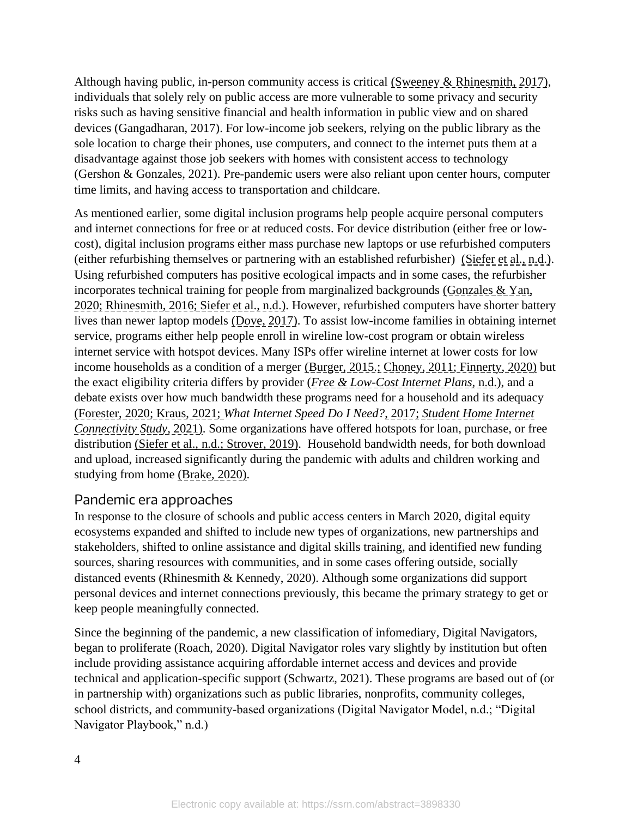Although having public, in-person community access is critical (Sweeney & Rhinesmith, 2017), individuals that solely rely on public access are more vulnerable to some privacy and security risks such as having sensitive financial and health information in public view and on shared devices (Gangadharan, 2017). For low-income job seekers, relying on the public library as the sole location to charge their phones, use computers, and connect to the internet puts them at a disadvantage against those job seekers with homes with consistent access to technology (Gershon & Gonzales, 2021). Pre-pandemic users were also reliant upon center hours, computer time limits, and having access to transportation and childcare.

As mentioned earlier, some digital inclusion programs help people acquire personal computers and internet connections for free or at reduced costs. For device distribution (either free or lowcost), digital inclusion programs either mass purchase new laptops or use refurbished computers (either refurbishing themselves or partnering with an established refurbisher) (Siefer et al., n.d.). Using refurbished computers has positive ecological impacts and in some cases, the refurbisher incorporates technical training for people from marginalized backgrounds (Gonzales & Yan, 2020; Rhinesmith, 2016; Siefer et al., n.d.). However, refurbished computers have shorter battery lives than newer laptop models (Dove, 2017). To assist low-income families in obtaining internet service, programs either help people enroll in wireline low-cost program or obtain wireless internet service with hotspot devices. Many ISPs offer wireline internet at lower costs for low income households as a condition of a merger (Burger, 2015.; Choney, 2011; Finnerty, 2020) but the exact eligibility criteria differs by provider (*Free & Low-Cost Internet Plans*, n.d.), and a debate exists over how much bandwidth these programs need for a household and its adequacy (Forester, 2020; Kraus, 2021; *What Internet Speed Do I Need?*, 2017; *Student Home Internet Connectivity Study*, 2021). Some organizations have offered hotspots for loan, purchase, or free distribution (Siefer et al., n.d.; Strover, 2019). Household bandwidth needs, for both download and upload, increased significantly during the pandemic with adults and children working and studying from home (Brake, 2020).

### Pandemic era approaches

In response to the closure of schools and public access centers in March 2020, digital equity ecosystems expanded and shifted to include new types of organizations, new partnerships and stakeholders, shifted to online assistance and digital skills training, and identified new funding sources, sharing resources with communities, and in some cases offering outside, socially distanced events (Rhinesmith & Kennedy, 2020). Although some organizations did support personal devices and internet connections previously, this became the primary strategy to get or keep people meaningfully connected.

Since the beginning of the pandemic, a new classification of infomediary, Digital Navigators, began to proliferate (Roach, 2020). Digital Navigator roles vary slightly by institution but often include providing assistance acquiring affordable internet access and devices and provide technical and application-specific support (Schwartz, 2021). These programs are based out of (or in partnership with) organizations such as public libraries, nonprofits, community colleges, school districts, and community-based organizations (Digital Navigator Model, n.d.; "Digital Navigator Playbook," n.d.)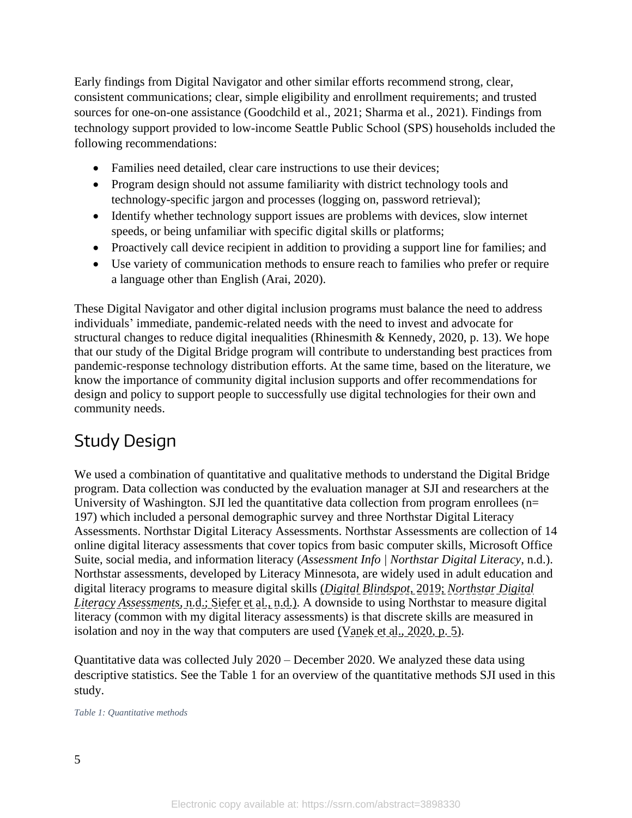Early findings from Digital Navigator and other similar efforts recommend strong, clear, consistent communications; clear, simple eligibility and enrollment requirements; and trusted sources for one-on-one assistance (Goodchild et al., 2021; Sharma et al., 2021). Findings from technology support provided to low-income Seattle Public School (SPS) households included the following recommendations:

- Families need detailed, clear care instructions to use their devices;
- Program design should not assume familiarity with district technology tools and technology-specific jargon and processes (logging on, password retrieval);
- Identify whether technology support issues are problems with devices, slow internet speeds, or being unfamiliar with specific digital skills or platforms;
- Proactively call device recipient in addition to providing a support line for families; and
- Use variety of communication methods to ensure reach to families who prefer or require a language other than English (Arai, 2020).

These Digital Navigator and other digital inclusion programs must balance the need to address individuals' immediate, pandemic-related needs with the need to invest and advocate for structural changes to reduce digital inequalities (Rhinesmith & Kennedy, 2020, p. 13). We hope that our study of the Digital Bridge program will contribute to understanding best practices from pandemic-response technology distribution efforts. At the same time, based on the literature, we know the importance of community digital inclusion supports and offer recommendations for design and policy to support people to successfully use digital technologies for their own and community needs.

# Study Design

We used a combination of quantitative and qualitative methods to understand the Digital Bridge program. Data collection was conducted by the evaluation manager at SJI and researchers at the University of Washington. SJI led the quantitative data collection from program enrollees ( $n=$ 197) which included a personal demographic survey and three Northstar Digital Literacy Assessments. Northstar Digital Literacy Assessments. Northstar Assessments are collection of 14 online digital literacy assessments that cover topics from basic computer skills, Microsoft Office Suite, social media, and information literacy (*Assessment Info | Northstar Digital Literacy*, n.d.). Northstar assessments, developed by Literacy Minnesota, are widely used in adult education and digital literacy programs to measure digital skills (*Digital Blindspot*, 2019; *Northstar Digital Literacy Assessments*, n.d.; Siefer et al., n.d.). A downside to using Northstar to measure digital literacy (common with my digital literacy assessments) is that discrete skills are measured in isolation and noy in the way that computers are used (Vanek et al., 2020, p. 5).

Quantitative data was collected July 2020 – December 2020. We analyzed these data using descriptive statistics. See the Table 1 for an overview of the quantitative methods SJI used in this study.

*Table 1: Quantitative methods*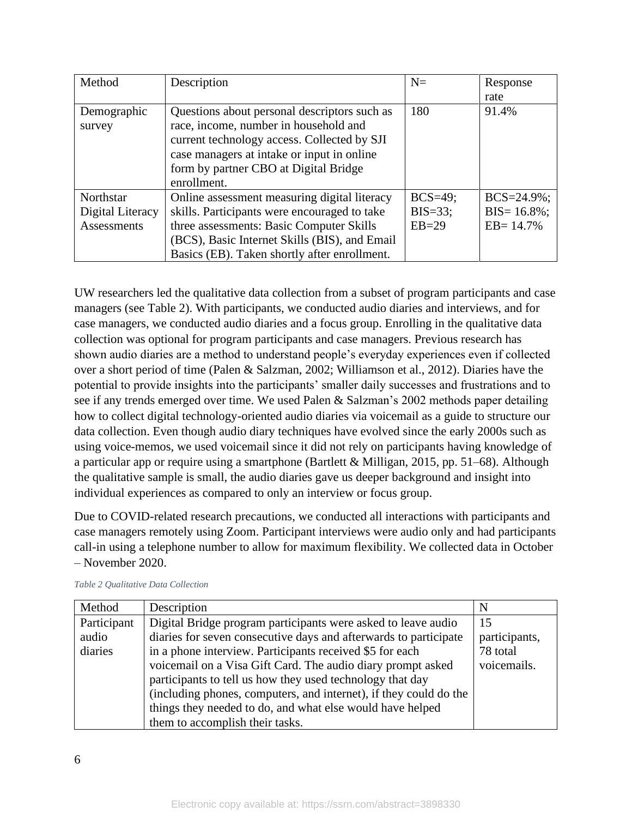| Method             | Description                                   | $N=$       | Response         |
|--------------------|-----------------------------------------------|------------|------------------|
|                    |                                               |            | rate             |
| Demographic        | Questions about personal descriptors such as  | 180        | 91.4%            |
| survey             | race, income, number in household and         |            |                  |
|                    | current technology access. Collected by SJI   |            |                  |
|                    | case managers at intake or input in online    |            |                  |
|                    | form by partner CBO at Digital Bridge         |            |                  |
|                    | enrollment.                                   |            |                  |
| Northstar          | Online assessment measuring digital literacy  | $BCS=49$ ; | $BCS = 24.9\%$ ; |
| Digital Literacy   | skills. Participants were encouraged to take  | $BIS=33$ ; | $BIS = 16.8\%$ ; |
| <b>Assessments</b> | three assessments: Basic Computer Skills      | $EB=29$    | $EB = 14.7\%$    |
|                    | (BCS), Basic Internet Skills (BIS), and Email |            |                  |
|                    | Basics (EB). Taken shortly after enrollment.  |            |                  |

UW researchers led the qualitative data collection from a subset of program participants and case managers (see Table 2). With participants, we conducted audio diaries and interviews, and for case managers, we conducted audio diaries and a focus group. Enrolling in the qualitative data collection was optional for program participants and case managers. Previous research has shown audio diaries are a method to understand people's everyday experiences even if collected over a short period of time (Palen & Salzman, 2002; Williamson et al., 2012). Diaries have the potential to provide insights into the participants' smaller daily successes and frustrations and to see if any trends emerged over time. We used Palen & Salzman's 2002 methods paper detailing how to collect digital technology-oriented audio diaries via voicemail as a guide to structure our data collection. Even though audio diary techniques have evolved since the early 2000s such as using voice-memos, we used voicemail since it did not rely on participants having knowledge of a particular app or require using a smartphone (Bartlett & Milligan, 2015, pp. 51–68). Although the qualitative sample is small, the audio diaries gave us deeper background and insight into individual experiences as compared to only an interview or focus group.

Due to COVID-related research precautions, we conducted all interactions with participants and case managers remotely using Zoom. Participant interviews were audio only and had participants call-in using a telephone number to allow for maximum flexibility. We collected data in October – November 2020.

| Method      | Description                                                       | N             |
|-------------|-------------------------------------------------------------------|---------------|
| Participant | Digital Bridge program participants were asked to leave audio     | 15            |
| audio       | diaries for seven consecutive days and afterwards to participate  | participants, |
| diaries     | in a phone interview. Participants received \$5 for each          | 78 total      |
|             | voicemail on a Visa Gift Card. The audio diary prompt asked       | voicemails.   |
|             | participants to tell us how they used technology that day         |               |
|             | (including phones, computers, and internet), if they could do the |               |
|             | things they needed to do, and what else would have helped         |               |
|             | them to accomplish their tasks.                                   |               |

*Table 2 Qualitative Data Collection*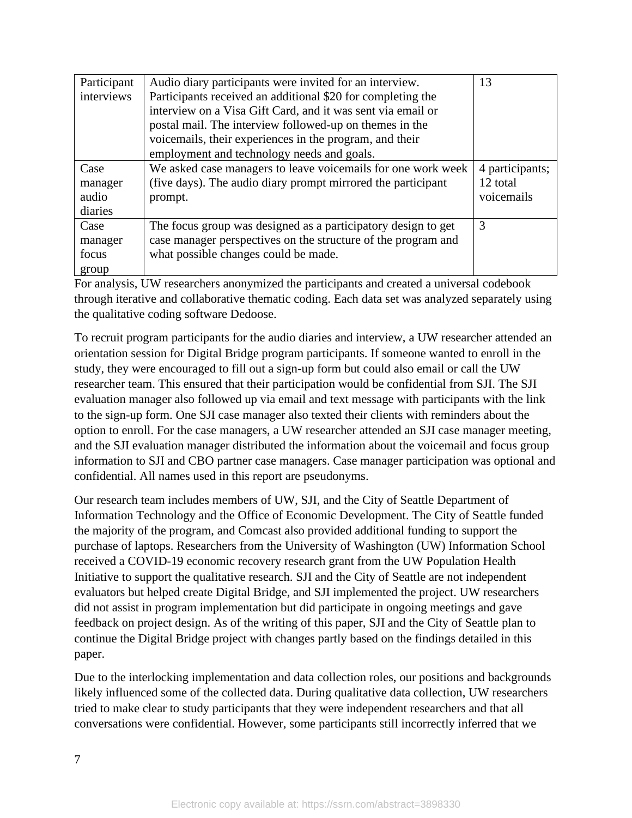| Participant | Audio diary participants were invited for an interview.       | 13              |
|-------------|---------------------------------------------------------------|-----------------|
| interviews  | Participants received an additional \$20 for completing the   |                 |
|             | interview on a Visa Gift Card, and it was sent via email or   |                 |
|             | postal mail. The interview followed-up on themes in the       |                 |
|             | voicemails, their experiences in the program, and their       |                 |
|             | employment and technology needs and goals.                    |                 |
| Case        | We asked case managers to leave voicemails for one work week  | 4 participants; |
| manager     | (five days). The audio diary prompt mirrored the participant  | 12 total        |
| audio       | prompt.                                                       | voicemails      |
| diaries     |                                                               |                 |
| Case        | The focus group was designed as a participatory design to get | 3               |
| manager     | case manager perspectives on the structure of the program and |                 |
| focus       | what possible changes could be made.                          |                 |
| group       |                                                               |                 |

For analysis, UW researchers anonymized the participants and created a universal codebook through iterative and collaborative thematic coding. Each data set was analyzed separately using the qualitative coding software Dedoose.

To recruit program participants for the audio diaries and interview, a UW researcher attended an orientation session for Digital Bridge program participants. If someone wanted to enroll in the study, they were encouraged to fill out a sign-up form but could also email or call the UW researcher team. This ensured that their participation would be confidential from SJI. The SJI evaluation manager also followed up via email and text message with participants with the link to the sign-up form. One SJI case manager also texted their clients with reminders about the option to enroll. For the case managers, a UW researcher attended an SJI case manager meeting, and the SJI evaluation manager distributed the information about the voicemail and focus group information to SJI and CBO partner case managers. Case manager participation was optional and confidential. All names used in this report are pseudonyms.

Our research team includes members of UW, SJI, and the City of Seattle Department of Information Technology and the Office of Economic Development. The City of Seattle funded the majority of the program, and Comcast also provided additional funding to support the purchase of laptops. Researchers from the University of Washington (UW) Information School received a COVID-19 economic recovery research grant from the UW Population Health Initiative to support the qualitative research. SJI and the City of Seattle are not independent evaluators but helped create Digital Bridge, and SJI implemented the project. UW researchers did not assist in program implementation but did participate in ongoing meetings and gave feedback on project design. As of the writing of this paper, SJI and the City of Seattle plan to continue the Digital Bridge project with changes partly based on the findings detailed in this paper.

Due to the interlocking implementation and data collection roles, our positions and backgrounds likely influenced some of the collected data. During qualitative data collection, UW researchers tried to make clear to study participants that they were independent researchers and that all conversations were confidential. However, some participants still incorrectly inferred that we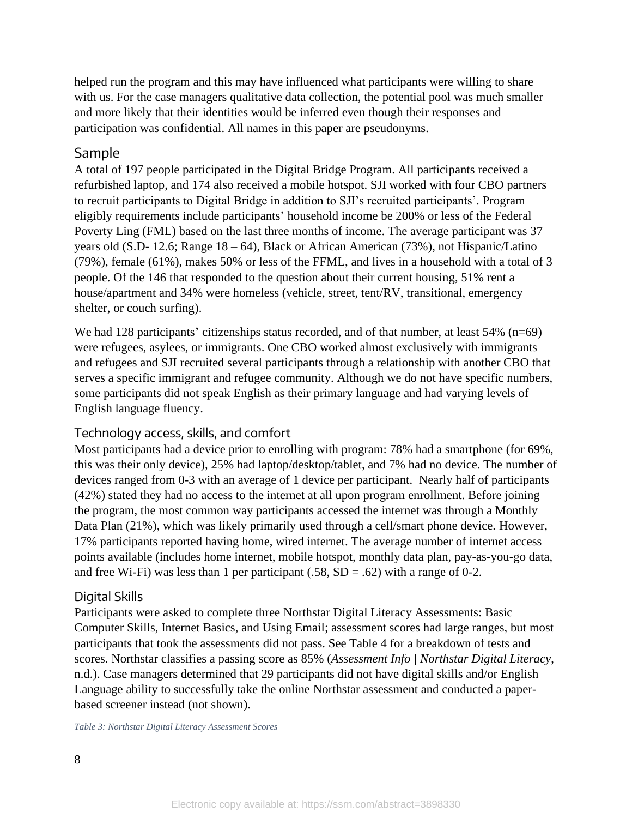helped run the program and this may have influenced what participants were willing to share with us. For the case managers qualitative data collection, the potential pool was much smaller and more likely that their identities would be inferred even though their responses and participation was confidential. All names in this paper are pseudonyms.

### Sample

A total of 197 people participated in the Digital Bridge Program. All participants received a refurbished laptop, and 174 also received a mobile hotspot. SJI worked with four CBO partners to recruit participants to Digital Bridge in addition to SJI's recruited participants'. Program eligibly requirements include participants' household income be 200% or less of the Federal Poverty Ling (FML) based on the last three months of income. The average participant was 37 years old (S.D- 12.6; Range 18 – 64), Black or African American (73%), not Hispanic/Latino (79%), female (61%), makes 50% or less of the FFML, and lives in a household with a total of 3 people. Of the 146 that responded to the question about their current housing, 51% rent a house/apartment and 34% were homeless (vehicle, street, tent/RV, transitional, emergency shelter, or couch surfing).

We had 128 participants' citizenships status recorded, and of that number, at least 54% (n=69) were refugees, asylees, or immigrants. One CBO worked almost exclusively with immigrants and refugees and SJI recruited several participants through a relationship with another CBO that serves a specific immigrant and refugee community. Although we do not have specific numbers, some participants did not speak English as their primary language and had varying levels of English language fluency.

### Technology access, skills, and comfort

Most participants had a device prior to enrolling with program: 78% had a smartphone (for 69%, this was their only device), 25% had laptop/desktop/tablet, and 7% had no device. The number of devices ranged from 0-3 with an average of 1 device per participant. Nearly half of participants (42%) stated they had no access to the internet at all upon program enrollment. Before joining the program, the most common way participants accessed the internet was through a Monthly Data Plan (21%), which was likely primarily used through a cell/smart phone device. However, 17% participants reported having home, wired internet. The average number of internet access points available (includes home internet, mobile hotspot, monthly data plan, pay-as-you-go data, and free Wi-Fi) was less than 1 per participant  $(.58, SD = .62)$  with a range of 0-2.

### Digital Skills

Participants were asked to complete three Northstar Digital Literacy Assessments: Basic Computer Skills, Internet Basics, and Using Email; assessment scores had large ranges, but most participants that took the assessments did not pass. See Table 4 for a breakdown of tests and scores. Northstar classifies a passing score as 85% (*Assessment Info | Northstar Digital Literacy*, n.d.). Case managers determined that 29 participants did not have digital skills and/or English Language ability to successfully take the online Northstar assessment and conducted a paperbased screener instead (not shown).

*Table 3: Northstar Digital Literacy Assessment Scores*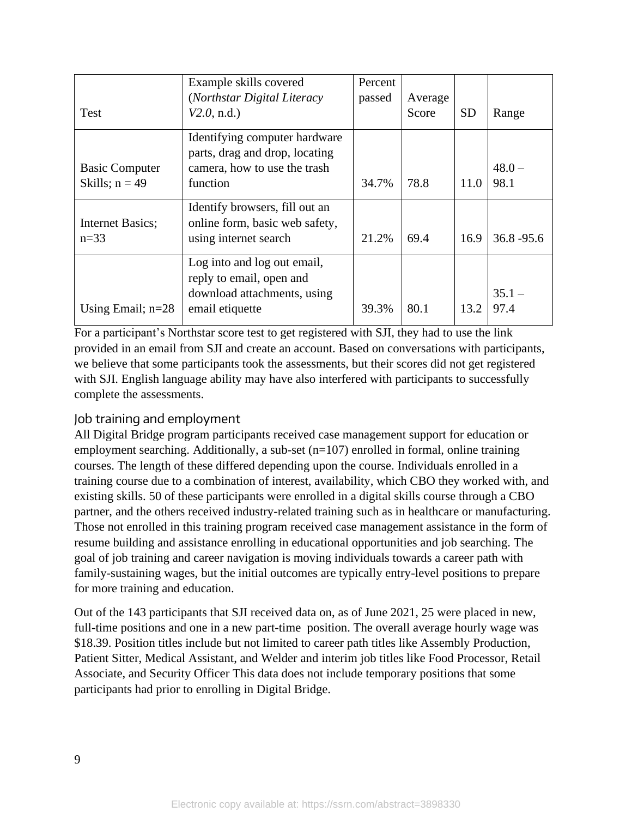|                       | Example skills covered                                          | Percent |         |           |               |
|-----------------------|-----------------------------------------------------------------|---------|---------|-----------|---------------|
|                       | (Northstar Digital Literacy                                     | passed  | Average |           |               |
| <b>Test</b>           | V2.0, n.d.                                                      |         | Score   | <b>SD</b> | Range         |
|                       | Identifying computer hardware<br>parts, drag and drop, locating |         |         |           |               |
| <b>Basic Computer</b> | camera, how to use the trash                                    |         |         |           | $48.0 -$      |
| Skills; $n = 49$      | function                                                        | 34.7%   | 78.8    | 11.0      | 98.1          |
|                       | Identify browsers, fill out an                                  |         |         |           |               |
| Internet Basics;      | online form, basic web safety,                                  |         |         |           |               |
| $n=33$                | using internet search                                           | 21.2%   | 69.4    | 16.9      | $36.8 - 95.6$ |
|                       | Log into and log out email,<br>reply to email, open and         |         |         |           |               |
|                       | download attachments, using                                     |         |         |           | $35.1 -$      |
| Using Email; $n=28$   | email etiquette                                                 | 39.3%   | 80.1    | 13.2      | 97.4          |

For a participant's Northstar score test to get registered with SJI, they had to use the link provided in an email from SJI and create an account. Based on conversations with participants, we believe that some participants took the assessments, but their scores did not get registered with SJI. English language ability may have also interfered with participants to successfully complete the assessments.

### Job training and employment

All Digital Bridge program participants received case management support for education or employment searching. Additionally, a sub-set (n=107) enrolled in formal, online training courses. The length of these differed depending upon the course. Individuals enrolled in a training course due to a combination of interest, availability, which CBO they worked with, and existing skills. 50 of these participants were enrolled in a digital skills course through a CBO partner, and the others received industry-related training such as in healthcare or manufacturing. Those not enrolled in this training program received case management assistance in the form of resume building and assistance enrolling in educational opportunities and job searching. The goal of job training and career navigation is moving individuals towards a career path with family-sustaining wages, but the initial outcomes are typically entry-level positions to prepare for more training and education.

Out of the 143 participants that SJI received data on, as of June 2021, 25 were placed in new, full-time positions and one in a new part-time position. The overall average hourly wage was \$18.39. Position titles include but not limited to career path titles like Assembly Production, Patient Sitter, Medical Assistant, and Welder and interim job titles like Food Processor, Retail Associate, and Security Officer This data does not include temporary positions that some participants had prior to enrolling in Digital Bridge.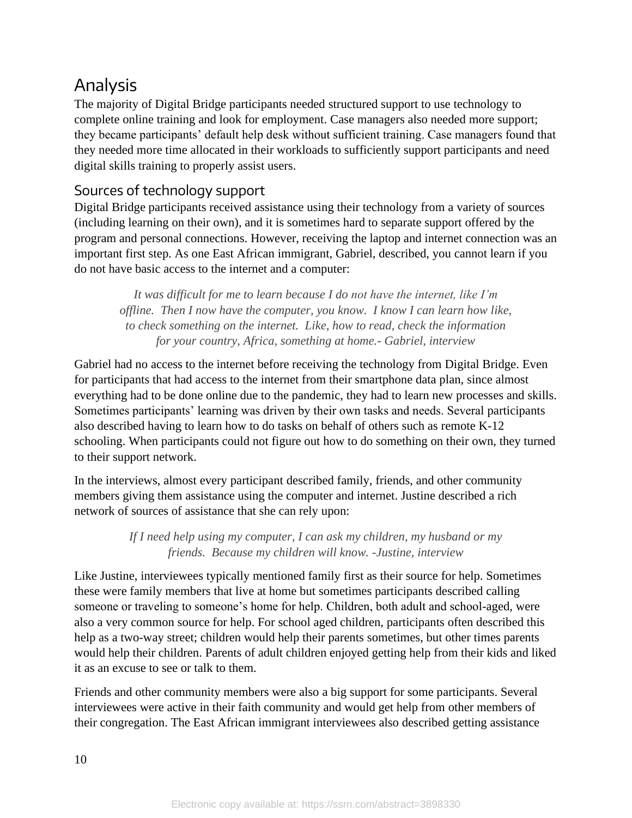# Analysis

The majority of Digital Bridge participants needed structured support to use technology to complete online training and look for employment. Case managers also needed more support; they became participants' default help desk without sufficient training. Case managers found that they needed more time allocated in their workloads to sufficiently support participants and need digital skills training to properly assist users.

### Sources of technology support

Digital Bridge participants received assistance using their technology from a variety of sources (including learning on their own), and it is sometimes hard to separate support offered by the program and personal connections. However, receiving the laptop and internet connection was an important first step. As one East African immigrant, Gabriel, described, you cannot learn if you do not have basic access to the internet and a computer:

*It was difficult for me to learn because I do not have the internet, like I'm offline. Then I now have the computer, you know. I know I can learn how like, to check something on the internet. Like, how to read, check the information for your country, Africa, something at home.- Gabriel, interview*

Gabriel had no access to the internet before receiving the technology from Digital Bridge. Even for participants that had access to the internet from their smartphone data plan, since almost everything had to be done online due to the pandemic, they had to learn new processes and skills. Sometimes participants' learning was driven by their own tasks and needs. Several participants also described having to learn how to do tasks on behalf of others such as remote K-12 schooling. When participants could not figure out how to do something on their own, they turned to their support network.

In the interviews, almost every participant described family, friends, and other community members giving them assistance using the computer and internet. Justine described a rich network of sources of assistance that she can rely upon:

> *If I need help using my computer, I can ask my children, my husband or my friends. Because my children will know. -Justine, interview*

Like Justine, interviewees typically mentioned family first as their source for help. Sometimes these were family members that live at home but sometimes participants described calling someone or traveling to someone's home for help. Children, both adult and school-aged, were also a very common source for help. For school aged children, participants often described this help as a two-way street; children would help their parents sometimes, but other times parents would help their children. Parents of adult children enjoyed getting help from their kids and liked it as an excuse to see or talk to them.

Friends and other community members were also a big support for some participants. Several interviewees were active in their faith community and would get help from other members of their congregation. The East African immigrant interviewees also described getting assistance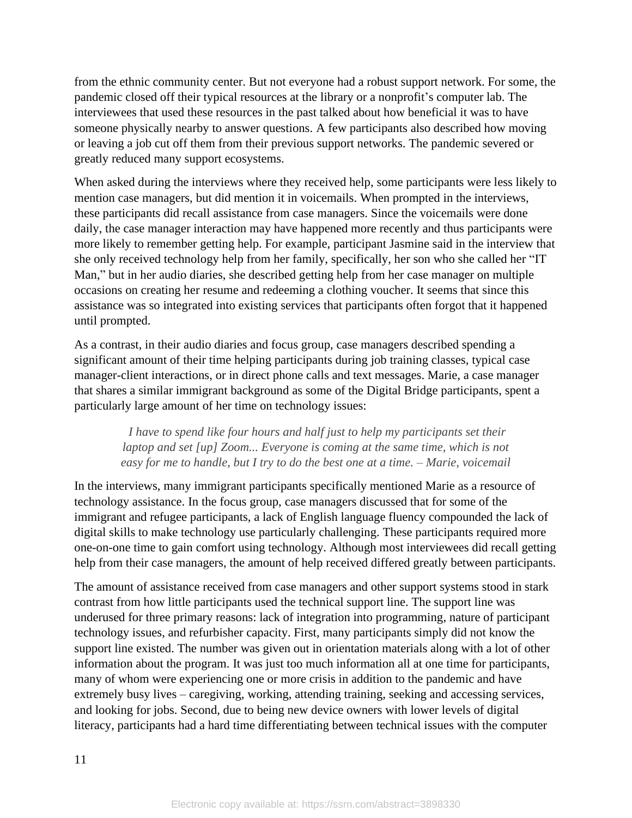from the ethnic community center. But not everyone had a robust support network. For some, the pandemic closed off their typical resources at the library or a nonprofit's computer lab. The interviewees that used these resources in the past talked about how beneficial it was to have someone physically nearby to answer questions. A few participants also described how moving or leaving a job cut off them from their previous support networks. The pandemic severed or greatly reduced many support ecosystems.

When asked during the interviews where they received help, some participants were less likely to mention case managers, but did mention it in voicemails. When prompted in the interviews, these participants did recall assistance from case managers. Since the voicemails were done daily, the case manager interaction may have happened more recently and thus participants were more likely to remember getting help. For example, participant Jasmine said in the interview that she only received technology help from her family, specifically, her son who she called her "IT Man," but in her audio diaries, she described getting help from her case manager on multiple occasions on creating her resume and redeeming a clothing voucher. It seems that since this assistance was so integrated into existing services that participants often forgot that it happened until prompted.

As a contrast, in their audio diaries and focus group, case managers described spending a significant amount of their time helping participants during job training classes, typical case manager-client interactions, or in direct phone calls and text messages. Marie, a case manager that shares a similar immigrant background as some of the Digital Bridge participants, spent a particularly large amount of her time on technology issues:

> *I have to spend like four hours and half just to help my participants set their laptop and set [up] Zoom... Everyone is coming at the same time, which is not easy for me to handle, but I try to do the best one at a time. – Marie, voicemail*

In the interviews, many immigrant participants specifically mentioned Marie as a resource of technology assistance. In the focus group, case managers discussed that for some of the immigrant and refugee participants, a lack of English language fluency compounded the lack of digital skills to make technology use particularly challenging. These participants required more one-on-one time to gain comfort using technology. Although most interviewees did recall getting help from their case managers, the amount of help received differed greatly between participants.

The amount of assistance received from case managers and other support systems stood in stark contrast from how little participants used the technical support line. The support line was underused for three primary reasons: lack of integration into programming, nature of participant technology issues, and refurbisher capacity. First, many participants simply did not know the support line existed. The number was given out in orientation materials along with a lot of other information about the program. It was just too much information all at one time for participants, many of whom were experiencing one or more crisis in addition to the pandemic and have extremely busy lives – caregiving, working, attending training, seeking and accessing services, and looking for jobs. Second, due to being new device owners with lower levels of digital literacy, participants had a hard time differentiating between technical issues with the computer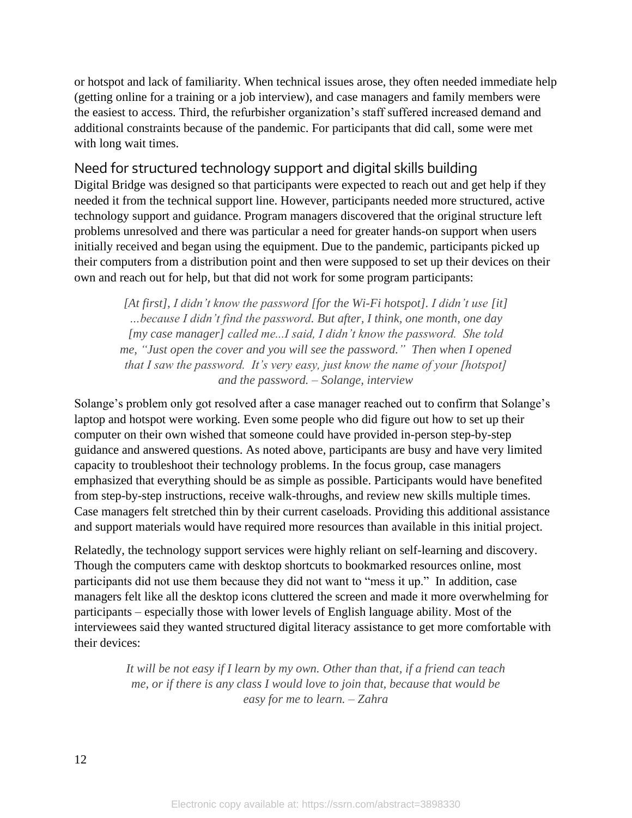or hotspot and lack of familiarity. When technical issues arose, they often needed immediate help (getting online for a training or a job interview), and case managers and family members were the easiest to access. Third, the refurbisher organization's staff suffered increased demand and additional constraints because of the pandemic. For participants that did call, some were met with long wait times.

### Need for structured technology support and digital skills building

Digital Bridge was designed so that participants were expected to reach out and get help if they needed it from the technical support line. However, participants needed more structured, active technology support and guidance. Program managers discovered that the original structure left problems unresolved and there was particular a need for greater hands-on support when users initially received and began using the equipment. Due to the pandemic, participants picked up their computers from a distribution point and then were supposed to set up their devices on their own and reach out for help, but that did not work for some program participants:

*[At first], I didn't know the password [for the Wi-Fi hotspot]. I didn't use [it] …because I didn't find the password. But after, I think, one month, one day [my case manager] called me...I said, I didn't know the password. She told me, "Just open the cover and you will see the password." Then when I opened that I saw the password. It's very easy, just know the name of your [hotspot] and the password. – Solange, interview*

Solange's problem only got resolved after a case manager reached out to confirm that Solange's laptop and hotspot were working. Even some people who did figure out how to set up their computer on their own wished that someone could have provided in-person step-by-step guidance and answered questions. As noted above, participants are busy and have very limited capacity to troubleshoot their technology problems. In the focus group, case managers emphasized that everything should be as simple as possible. Participants would have benefited from step-by-step instructions, receive walk-throughs, and review new skills multiple times. Case managers felt stretched thin by their current caseloads. Providing this additional assistance and support materials would have required more resources than available in this initial project.

Relatedly, the technology support services were highly reliant on self-learning and discovery. Though the computers came with desktop shortcuts to bookmarked resources online, most participants did not use them because they did not want to "mess it up." In addition, case managers felt like all the desktop icons cluttered the screen and made it more overwhelming for participants – especially those with lower levels of English language ability. Most of the interviewees said they wanted structured digital literacy assistance to get more comfortable with their devices:

> *It will be not easy if I learn by my own. Other than that, if a friend can teach me, or if there is any class I would love to join that, because that would be easy for me to learn. – Zahra*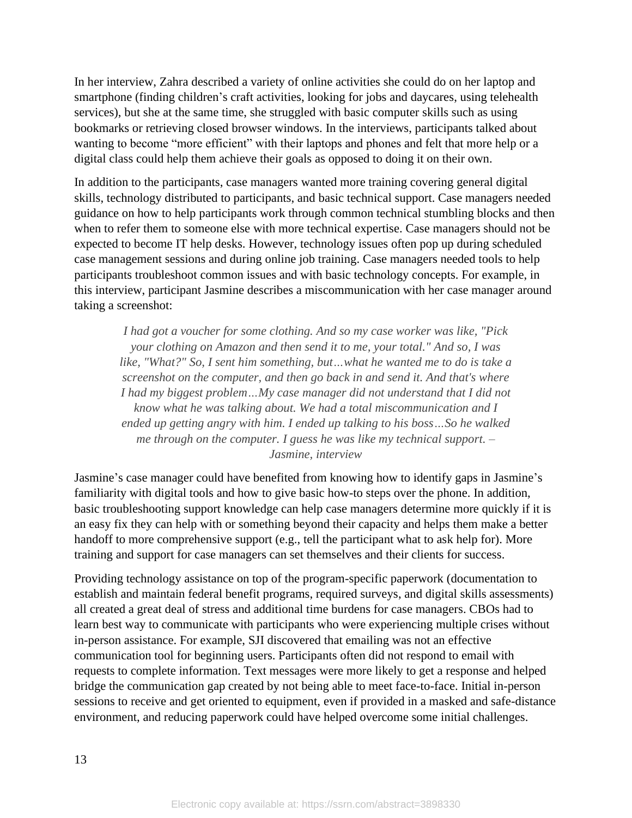In her interview, Zahra described a variety of online activities she could do on her laptop and smartphone (finding children's craft activities, looking for jobs and daycares, using telehealth services), but she at the same time, she struggled with basic computer skills such as using bookmarks or retrieving closed browser windows. In the interviews, participants talked about wanting to become "more efficient" with their laptops and phones and felt that more help or a digital class could help them achieve their goals as opposed to doing it on their own.

In addition to the participants, case managers wanted more training covering general digital skills, technology distributed to participants, and basic technical support. Case managers needed guidance on how to help participants work through common technical stumbling blocks and then when to refer them to someone else with more technical expertise. Case managers should not be expected to become IT help desks. However, technology issues often pop up during scheduled case management sessions and during online job training. Case managers needed tools to help participants troubleshoot common issues and with basic technology concepts. For example, in this interview, participant Jasmine describes a miscommunication with her case manager around taking a screenshot:

*I had got a voucher for some clothing. And so my case worker was like, "Pick your clothing on Amazon and then send it to me, your total." And so, I was like, "What?" So, I sent him something, but…what he wanted me to do is take a screenshot on the computer, and then go back in and send it. And that's where I had my biggest problem…My case manager did not understand that I did not know what he was talking about. We had a total miscommunication and I ended up getting angry with him. I ended up talking to his boss…So he walked me through on the computer. I guess he was like my technical support. – Jasmine, interview*

Jasmine's case manager could have benefited from knowing how to identify gaps in Jasmine's familiarity with digital tools and how to give basic how-to steps over the phone. In addition, basic troubleshooting support knowledge can help case managers determine more quickly if it is an easy fix they can help with or something beyond their capacity and helps them make a better handoff to more comprehensive support (e.g., tell the participant what to ask help for). More training and support for case managers can set themselves and their clients for success.

Providing technology assistance on top of the program-specific paperwork (documentation to establish and maintain federal benefit programs, required surveys, and digital skills assessments) all created a great deal of stress and additional time burdens for case managers. CBOs had to learn best way to communicate with participants who were experiencing multiple crises without in-person assistance. For example, SJI discovered that emailing was not an effective communication tool for beginning users. Participants often did not respond to email with requests to complete information. Text messages were more likely to get a response and helped bridge the communication gap created by not being able to meet face-to-face. Initial in-person sessions to receive and get oriented to equipment, even if provided in a masked and safe-distance environment, and reducing paperwork could have helped overcome some initial challenges.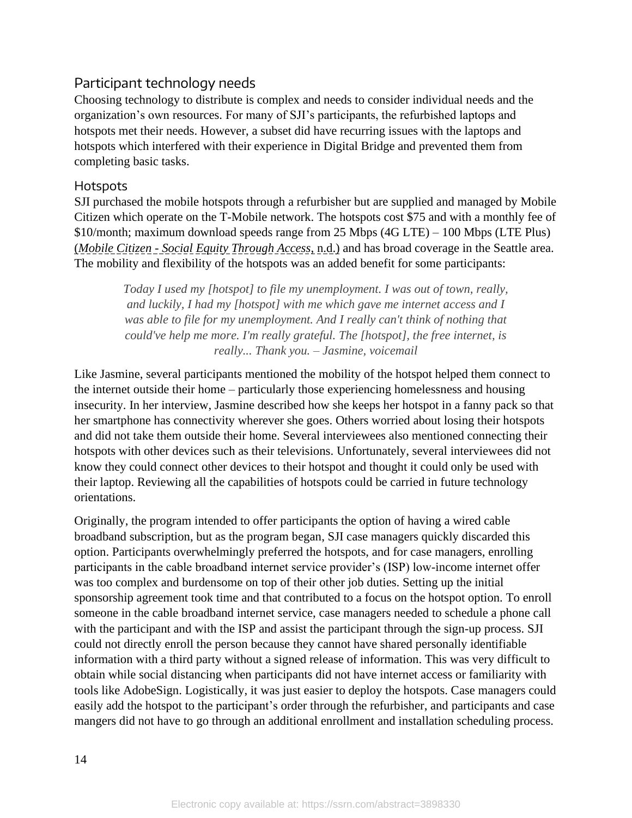### Participant technology needs

Choosing technology to distribute is complex and needs to consider individual needs and the organization's own resources. For many of SJI's participants, the refurbished laptops and hotspots met their needs. However, a subset did have recurring issues with the laptops and hotspots which interfered with their experience in Digital Bridge and prevented them from completing basic tasks.

### **Hotspots**

SJI purchased the mobile hotspots through a refurbisher but are supplied and managed by Mobile Citizen which operate on the T-Mobile network. The hotspots cost \$75 and with a monthly fee of \$10/month; maximum download speeds range from 25 Mbps (4G LTE) – 100 Mbps (LTE Plus) (*Mobile Citizen - Social Equity Through Access*, n.d.) and has broad coverage in the Seattle area. The mobility and flexibility of the hotspots was an added benefit for some participants:

> *Today I used my [hotspot] to file my unemployment. I was out of town, really, and luckily, I had my [hotspot] with me which gave me internet access and I was able to file for my unemployment. And I really can't think of nothing that could've help me more. I'm really grateful. The [hotspot], the free internet, is really... Thank you. – Jasmine, voicemail*

Like Jasmine, several participants mentioned the mobility of the hotspot helped them connect to the internet outside their home – particularly those experiencing homelessness and housing insecurity. In her interview, Jasmine described how she keeps her hotspot in a fanny pack so that her smartphone has connectivity wherever she goes. Others worried about losing their hotspots and did not take them outside their home. Several interviewees also mentioned connecting their hotspots with other devices such as their televisions. Unfortunately, several interviewees did not know they could connect other devices to their hotspot and thought it could only be used with their laptop. Reviewing all the capabilities of hotspots could be carried in future technology orientations.

Originally, the program intended to offer participants the option of having a wired cable broadband subscription, but as the program began, SJI case managers quickly discarded this option. Participants overwhelmingly preferred the hotspots, and for case managers, enrolling participants in the cable broadband internet service provider's (ISP) low-income internet offer was too complex and burdensome on top of their other job duties. Setting up the initial sponsorship agreement took time and that contributed to a focus on the hotspot option. To enroll someone in the cable broadband internet service, case managers needed to schedule a phone call with the participant and with the ISP and assist the participant through the sign-up process. SJI could not directly enroll the person because they cannot have shared personally identifiable information with a third party without a signed release of information. This was very difficult to obtain while social distancing when participants did not have internet access or familiarity with tools like AdobeSign. Logistically, it was just easier to deploy the hotspots. Case managers could easily add the hotspot to the participant's order through the refurbisher, and participants and case mangers did not have to go through an additional enrollment and installation scheduling process.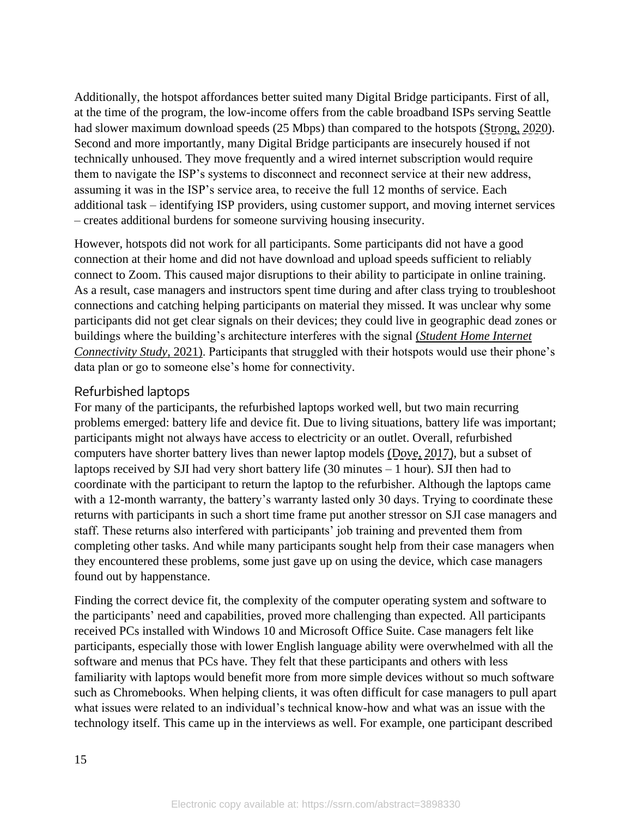Additionally, the hotspot affordances better suited many Digital Bridge participants. First of all, at the time of the program, the low-income offers from the cable broadband ISPs serving Seattle had slower maximum download speeds (25 Mbps) than compared to the hotspots (Strong, 2020). Second and more importantly, many Digital Bridge participants are insecurely housed if not technically unhoused. They move frequently and a wired internet subscription would require them to navigate the ISP's systems to disconnect and reconnect service at their new address, assuming it was in the ISP's service area, to receive the full 12 months of service. Each additional task – identifying ISP providers, using customer support, and moving internet services – creates additional burdens for someone surviving housing insecurity.

However, hotspots did not work for all participants. Some participants did not have a good connection at their home and did not have download and upload speeds sufficient to reliably connect to Zoom. This caused major disruptions to their ability to participate in online training. As a result, case managers and instructors spent time during and after class trying to troubleshoot connections and catching helping participants on material they missed. It was unclear why some participants did not get clear signals on their devices; they could live in geographic dead zones or buildings where the building's architecture interferes with the signal (*Student Home Internet Connectivity Study*, 2021). Participants that struggled with their hotspots would use their phone's data plan or go to someone else's home for connectivity.

### Refurbished laptops

For many of the participants, the refurbished laptops worked well, but two main recurring problems emerged: battery life and device fit. Due to living situations, battery life was important; participants might not always have access to electricity or an outlet. Overall, refurbished computers have shorter battery lives than newer laptop models (Dove, 2017), but a subset of laptops received by SJI had very short battery life  $(30 \text{ minutes} - 1 \text{ hour})$ . SJI then had to coordinate with the participant to return the laptop to the refurbisher. Although the laptops came with a 12-month warranty, the battery's warranty lasted only 30 days. Trying to coordinate these returns with participants in such a short time frame put another stressor on SJI case managers and staff. These returns also interfered with participants' job training and prevented them from completing other tasks. And while many participants sought help from their case managers when they encountered these problems, some just gave up on using the device, which case managers found out by happenstance.

Finding the correct device fit, the complexity of the computer operating system and software to the participants' need and capabilities, proved more challenging than expected. All participants received PCs installed with Windows 10 and Microsoft Office Suite. Case managers felt like participants, especially those with lower English language ability were overwhelmed with all the software and menus that PCs have. They felt that these participants and others with less familiarity with laptops would benefit more from more simple devices without so much software such as Chromebooks. When helping clients, it was often difficult for case managers to pull apart what issues were related to an individual's technical know-how and what was an issue with the technology itself. This came up in the interviews as well. For example, one participant described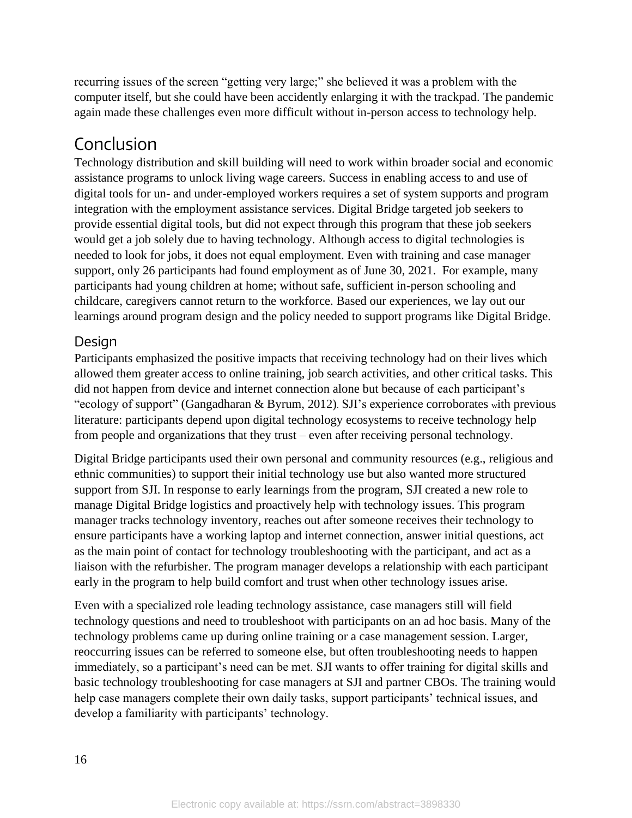recurring issues of the screen "getting very large;" she believed it was a problem with the computer itself, but she could have been accidently enlarging it with the trackpad. The pandemic again made these challenges even more difficult without in-person access to technology help.

# Conclusion

Technology distribution and skill building will need to work within broader social and economic assistance programs to unlock living wage careers. Success in enabling access to and use of digital tools for un- and under-employed workers requires a set of system supports and program integration with the employment assistance services. Digital Bridge targeted job seekers to provide essential digital tools, but did not expect through this program that these job seekers would get a job solely due to having technology. Although access to digital technologies is needed to look for jobs, it does not equal employment. Even with training and case manager support, only 26 participants had found employment as of June 30, 2021. For example, many participants had young children at home; without safe, sufficient in-person schooling and childcare, caregivers cannot return to the workforce. Based our experiences, we lay out our learnings around program design and the policy needed to support programs like Digital Bridge.

### **Design**

Participants emphasized the positive impacts that receiving technology had on their lives which allowed them greater access to online training, job search activities, and other critical tasks. This did not happen from device and internet connection alone but because of each participant's "ecology of support" (Gangadharan & Byrum, 2012). SJI's experience corroborates <sup>w</sup>ith previous literature: participants depend upon digital technology ecosystems to receive technology help from people and organizations that they trust – even after receiving personal technology.

Digital Bridge participants used their own personal and community resources (e.g., religious and ethnic communities) to support their initial technology use but also wanted more structured support from SJI. In response to early learnings from the program, SJI created a new role to manage Digital Bridge logistics and proactively help with technology issues. This program manager tracks technology inventory, reaches out after someone receives their technology to ensure participants have a working laptop and internet connection, answer initial questions, act as the main point of contact for technology troubleshooting with the participant, and act as a liaison with the refurbisher. The program manager develops a relationship with each participant early in the program to help build comfort and trust when other technology issues arise.

Even with a specialized role leading technology assistance, case managers still will field technology questions and need to troubleshoot with participants on an ad hoc basis. Many of the technology problems came up during online training or a case management session. Larger, reoccurring issues can be referred to someone else, but often troubleshooting needs to happen immediately, so a participant's need can be met. SJI wants to offer training for digital skills and basic technology troubleshooting for case managers at SJI and partner CBOs. The training would help case managers complete their own daily tasks, support participants' technical issues, and develop a familiarity with participants' technology.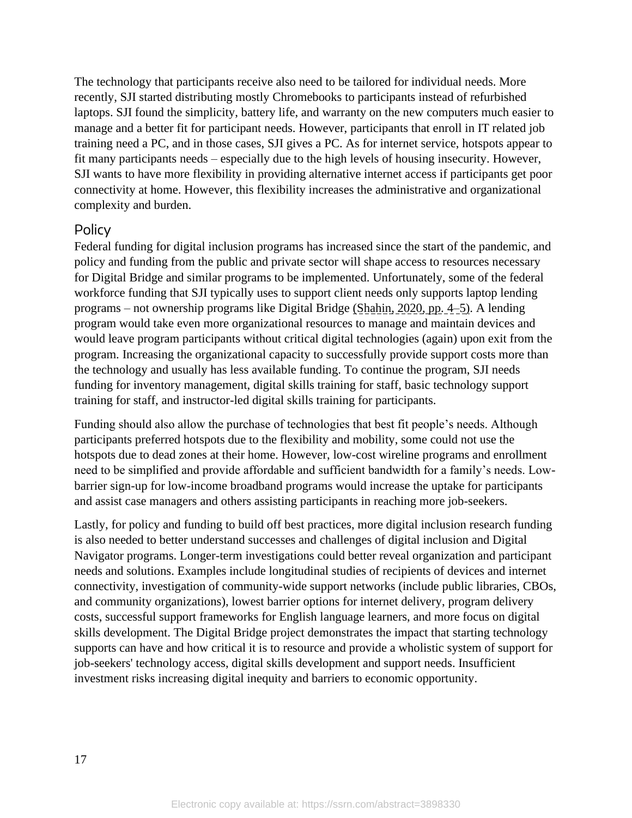The technology that participants receive also need to be tailored for individual needs. More recently, SJI started distributing mostly Chromebooks to participants instead of refurbished laptops. SJI found the simplicity, battery life, and warranty on the new computers much easier to manage and a better fit for participant needs. However, participants that enroll in IT related job training need a PC, and in those cases, SJI gives a PC. As for internet service, hotspots appear to fit many participants needs – especially due to the high levels of housing insecurity. However, SJI wants to have more flexibility in providing alternative internet access if participants get poor connectivity at home. However, this flexibility increases the administrative and organizational complexity and burden.

### Policy

Federal funding for digital inclusion programs has increased since the start of the pandemic, and policy and funding from the public and private sector will shape access to resources necessary for Digital Bridge and similar programs to be implemented. Unfortunately, some of the federal workforce funding that SJI typically uses to support client needs only supports laptop lending programs – not ownership programs like Digital Bridge (Shahin, 2020, pp. 4–5). A lending program would take even more organizational resources to manage and maintain devices and would leave program participants without critical digital technologies (again) upon exit from the program. Increasing the organizational capacity to successfully provide support costs more than the technology and usually has less available funding. To continue the program, SJI needs funding for inventory management, digital skills training for staff, basic technology support training for staff, and instructor-led digital skills training for participants.

Funding should also allow the purchase of technologies that best fit people's needs. Although participants preferred hotspots due to the flexibility and mobility, some could not use the hotspots due to dead zones at their home. However, low-cost wireline programs and enrollment need to be simplified and provide affordable and sufficient bandwidth for a family's needs. Lowbarrier sign-up for low-income broadband programs would increase the uptake for participants and assist case managers and others assisting participants in reaching more job-seekers.

Lastly, for policy and funding to build off best practices, more digital inclusion research funding is also needed to better understand successes and challenges of digital inclusion and Digital Navigator programs. Longer-term investigations could better reveal organization and participant needs and solutions. Examples include longitudinal studies of recipients of devices and internet connectivity, investigation of community-wide support networks (include public libraries, CBOs, and community organizations), lowest barrier options for internet delivery, program delivery costs, successful support frameworks for English language learners, and more focus on digital skills development. The Digital Bridge project demonstrates the impact that starting technology supports can have and how critical it is to resource and provide a wholistic system of support for job-seekers' technology access, digital skills development and support needs. Insufficient investment risks increasing digital inequity and barriers to economic opportunity.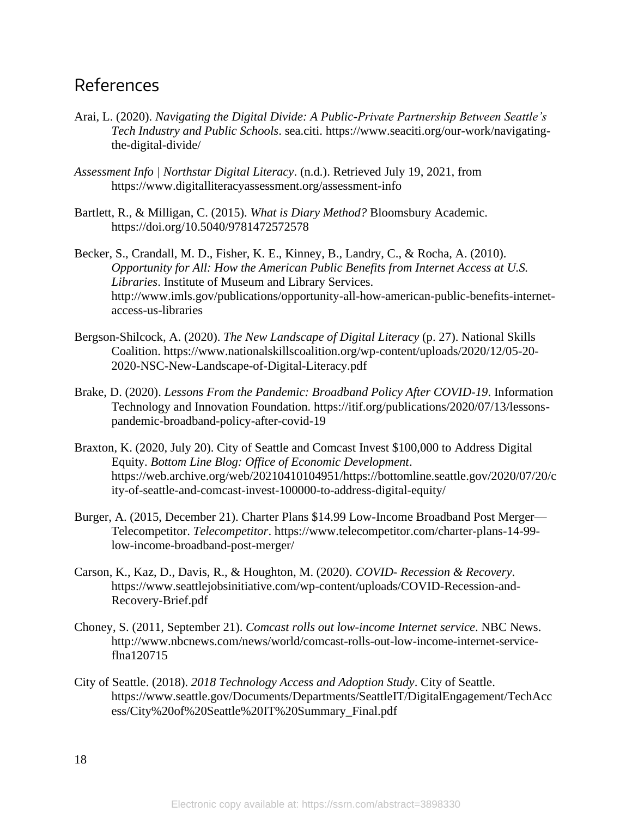### References

- Arai, L. (2020). *Navigating the Digital Divide: A Public-Private Partnership Between Seattle's Tech Industry and Public Schools*. sea.citi. https://www.seaciti.org/our-work/navigatingthe-digital-divide/
- *Assessment Info | Northstar Digital Literacy*. (n.d.). Retrieved July 19, 2021, from https://www.digitalliteracyassessment.org/assessment-info
- Bartlett, R., & Milligan, C. (2015). *What is Diary Method?* Bloomsbury Academic. https://doi.org/10.5040/9781472572578
- Becker, S., Crandall, M. D., Fisher, K. E., Kinney, B., Landry, C., & Rocha, A. (2010). *Opportunity for All: How the American Public Benefits from Internet Access at U.S. Libraries*. Institute of Museum and Library Services. http://www.imls.gov/publications/opportunity-all-how-american-public-benefits-internetaccess-us-libraries
- Bergson-Shilcock, A. (2020). *The New Landscape of Digital Literacy* (p. 27). National Skills Coalition. https://www.nationalskillscoalition.org/wp-content/uploads/2020/12/05-20- 2020-NSC-New-Landscape-of-Digital-Literacy.pdf
- Brake, D. (2020). *Lessons From the Pandemic: Broadband Policy After COVID-19*. Information Technology and Innovation Foundation. https://itif.org/publications/2020/07/13/lessonspandemic-broadband-policy-after-covid-19
- Braxton, K. (2020, July 20). City of Seattle and Comcast Invest \$100,000 to Address Digital Equity. *Bottom Line Blog: Office of Economic Development*. https://web.archive.org/web/20210410104951/https://bottomline.seattle.gov/2020/07/20/c ity-of-seattle-and-comcast-invest-100000-to-address-digital-equity/
- Burger, A. (2015, December 21). Charter Plans \$14.99 Low-Income Broadband Post Merger— Telecompetitor. *Telecompetitor*. https://www.telecompetitor.com/charter-plans-14-99 low-income-broadband-post-merger/
- Carson, K., Kaz, D., Davis, R., & Houghton, M. (2020). *COVID- Recession & Recovery*. https://www.seattlejobsinitiative.com/wp-content/uploads/COVID-Recession-and-Recovery-Brief.pdf
- Choney, S. (2011, September 21). *Comcast rolls out low-income Internet service*. NBC News. http://www.nbcnews.com/news/world/comcast-rolls-out-low-income-internet-serviceflna120715
- City of Seattle. (2018). *2018 Technology Access and Adoption Study*. City of Seattle. https://www.seattle.gov/Documents/Departments/SeattleIT/DigitalEngagement/TechAcc ess/City%20of%20Seattle%20IT%20Summary\_Final.pdf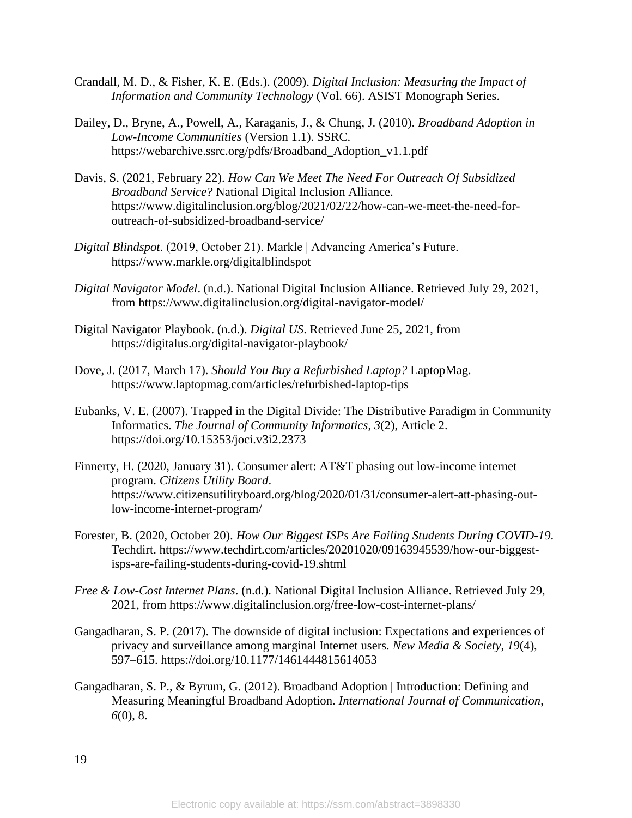- Crandall, M. D., & Fisher, K. E. (Eds.). (2009). *Digital Inclusion: Measuring the Impact of Information and Community Technology* (Vol. 66). ASIST Monograph Series.
- Dailey, D., Bryne, A., Powell, A., Karaganis, J., & Chung, J. (2010). *Broadband Adoption in Low-Income Communities* (Version 1.1). SSRC. https://webarchive.ssrc.org/pdfs/Broadband\_Adoption\_v1.1.pdf
- Davis, S. (2021, February 22). *How Can We Meet The Need For Outreach Of Subsidized Broadband Service?* National Digital Inclusion Alliance. https://www.digitalinclusion.org/blog/2021/02/22/how-can-we-meet-the-need-foroutreach-of-subsidized-broadband-service/
- *Digital Blindspot*. (2019, October 21). Markle | Advancing America's Future. https://www.markle.org/digitalblindspot
- *Digital Navigator Model*. (n.d.). National Digital Inclusion Alliance. Retrieved July 29, 2021, from https://www.digitalinclusion.org/digital-navigator-model/
- Digital Navigator Playbook. (n.d.). *Digital US*. Retrieved June 25, 2021, from https://digitalus.org/digital-navigator-playbook/
- Dove, J. (2017, March 17). *Should You Buy a Refurbished Laptop?* LaptopMag. https://www.laptopmag.com/articles/refurbished-laptop-tips
- Eubanks, V. E. (2007). Trapped in the Digital Divide: The Distributive Paradigm in Community Informatics. *The Journal of Community Informatics*, *3*(2), Article 2. https://doi.org/10.15353/joci.v3i2.2373
- Finnerty, H. (2020, January 31). Consumer alert: AT&T phasing out low-income internet program. *Citizens Utility Board*. https://www.citizensutilityboard.org/blog/2020/01/31/consumer-alert-att-phasing-outlow-income-internet-program/
- Forester, B. (2020, October 20). *How Our Biggest ISPs Are Failing Students During COVID-19*. Techdirt. https://www.techdirt.com/articles/20201020/09163945539/how-our-biggestisps-are-failing-students-during-covid-19.shtml
- *Free & Low-Cost Internet Plans*. (n.d.). National Digital Inclusion Alliance. Retrieved July 29, 2021, from https://www.digitalinclusion.org/free-low-cost-internet-plans/
- Gangadharan, S. P. (2017). The downside of digital inclusion: Expectations and experiences of privacy and surveillance among marginal Internet users. *New Media & Society*, *19*(4), 597–615. https://doi.org/10.1177/1461444815614053
- Gangadharan, S. P., & Byrum, G. (2012). Broadband Adoption | Introduction: Defining and Measuring Meaningful Broadband Adoption. *International Journal of Communication*, *6*(0), 8.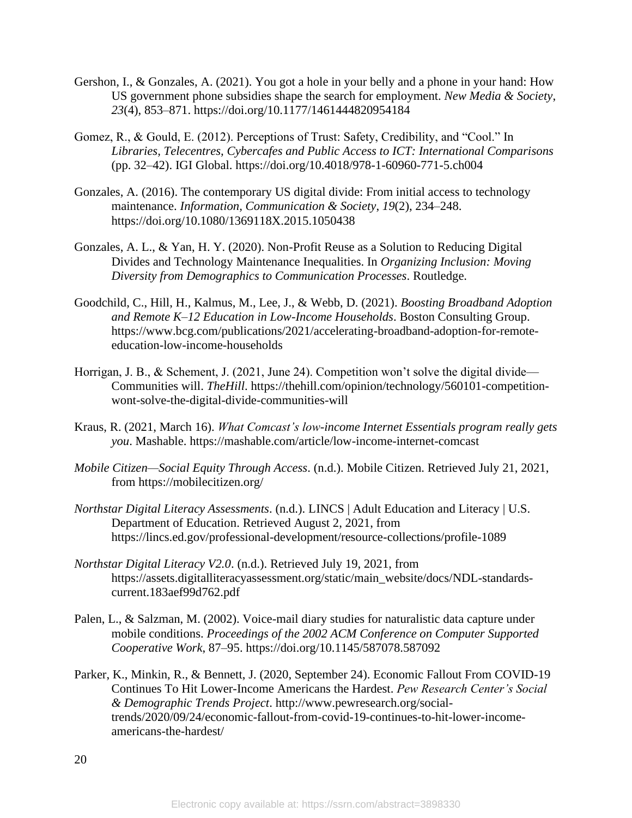- Gershon, I., & Gonzales, A. (2021). You got a hole in your belly and a phone in your hand: How US government phone subsidies shape the search for employment. *New Media & Society*, *23*(4), 853–871. https://doi.org/10.1177/1461444820954184
- Gomez, R., & Gould, E. (2012). Perceptions of Trust: Safety, Credibility, and "Cool." In *Libraries, Telecentres, Cybercafes and Public Access to ICT: International Comparisons* (pp. 32–42). IGI Global. https://doi.org/10.4018/978-1-60960-771-5.ch004
- Gonzales, A. (2016). The contemporary US digital divide: From initial access to technology maintenance. *Information, Communication & Society*, *19*(2), 234–248. https://doi.org/10.1080/1369118X.2015.1050438
- Gonzales, A. L., & Yan, H. Y. (2020). Non-Profit Reuse as a Solution to Reducing Digital Divides and Technology Maintenance Inequalities. In *Organizing Inclusion: Moving Diversity from Demographics to Communication Processes*. Routledge.
- Goodchild, C., Hill, H., Kalmus, M., Lee, J., & Webb, D. (2021). *Boosting Broadband Adoption and Remote K–12 Education in Low-Income Households*. Boston Consulting Group. https://www.bcg.com/publications/2021/accelerating-broadband-adoption-for-remoteeducation-low-income-households
- Horrigan, J. B., & Schement, J. (2021, June 24). Competition won't solve the digital divide— Communities will. *TheHill*. https://thehill.com/opinion/technology/560101-competitionwont-solve-the-digital-divide-communities-will
- Kraus, R. (2021, March 16). *What Comcast's low-income Internet Essentials program really gets you*. Mashable. https://mashable.com/article/low-income-internet-comcast
- *Mobile Citizen—Social Equity Through Access*. (n.d.). Mobile Citizen. Retrieved July 21, 2021, from https://mobilecitizen.org/
- *Northstar Digital Literacy Assessments*. (n.d.). LINCS | Adult Education and Literacy | U.S. Department of Education. Retrieved August 2, 2021, from https://lincs.ed.gov/professional-development/resource-collections/profile-1089
- *Northstar Digital Literacy V2.0*. (n.d.). Retrieved July 19, 2021, from https://assets.digitalliteracyassessment.org/static/main\_website/docs/NDL-standardscurrent.183aef99d762.pdf
- Palen, L., & Salzman, M. (2002). Voice-mail diary studies for naturalistic data capture under mobile conditions. *Proceedings of the 2002 ACM Conference on Computer Supported Cooperative Work*, 87–95. https://doi.org/10.1145/587078.587092
- Parker, K., Minkin, R., & Bennett, J. (2020, September 24). Economic Fallout From COVID-19 Continues To Hit Lower-Income Americans the Hardest. *Pew Research Center's Social & Demographic Trends Project*. http://www.pewresearch.org/socialtrends/2020/09/24/economic-fallout-from-covid-19-continues-to-hit-lower-incomeamericans-the-hardest/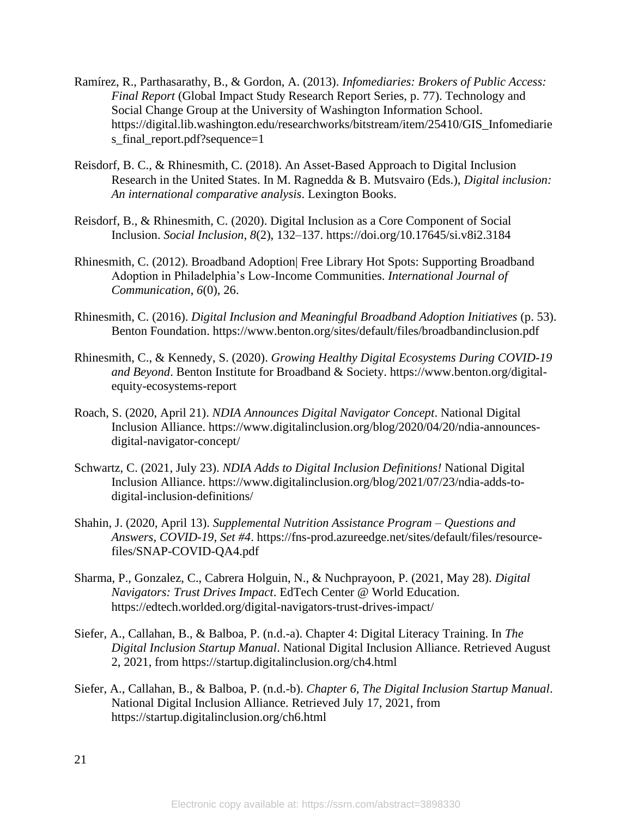- Ramírez, R., Parthasarathy, B., & Gordon, A. (2013). *Infomediaries: Brokers of Public Access: Final Report* (Global Impact Study Research Report Series, p. 77). Technology and Social Change Group at the University of Washington Information School. https://digital.lib.washington.edu/researchworks/bitstream/item/25410/GIS\_Infomediarie s\_final\_report.pdf?sequence=1
- Reisdorf, B. C., & Rhinesmith, C. (2018). An Asset-Based Approach to Digital Inclusion Research in the United States. In M. Ragnedda & B. Mutsvairo (Eds.), *Digital inclusion: An international comparative analysis*. Lexington Books.
- Reisdorf, B., & Rhinesmith, C. (2020). Digital Inclusion as a Core Component of Social Inclusion. *Social Inclusion*, *8*(2), 132–137. https://doi.org/10.17645/si.v8i2.3184
- Rhinesmith, C. (2012). Broadband Adoption| Free Library Hot Spots: Supporting Broadband Adoption in Philadelphia's Low-Income Communities. *International Journal of Communication*, *6*(0), 26.
- Rhinesmith, C. (2016). *Digital Inclusion and Meaningful Broadband Adoption Initiatives* (p. 53). Benton Foundation. https://www.benton.org/sites/default/files/broadbandinclusion.pdf
- Rhinesmith, C., & Kennedy, S. (2020). *Growing Healthy Digital Ecosystems During COVID-19 and Beyond*. Benton Institute for Broadband & Society. https://www.benton.org/digitalequity-ecosystems-report
- Roach, S. (2020, April 21). *NDIA Announces Digital Navigator Concept*. National Digital Inclusion Alliance. https://www.digitalinclusion.org/blog/2020/04/20/ndia-announcesdigital-navigator-concept/
- Schwartz, C. (2021, July 23). *NDIA Adds to Digital Inclusion Definitions!* National Digital Inclusion Alliance. https://www.digitalinclusion.org/blog/2021/07/23/ndia-adds-todigital-inclusion-definitions/
- Shahin, J. (2020, April 13). *Supplemental Nutrition Assistance Program – Questions and Answers, COVID-19, Set #4*. https://fns-prod.azureedge.net/sites/default/files/resourcefiles/SNAP-COVID-QA4.pdf
- Sharma, P., Gonzalez, C., Cabrera Holguin, N., & Nuchprayoon, P. (2021, May 28). *Digital Navigators: Trust Drives Impact*. EdTech Center @ World Education. https://edtech.worlded.org/digital-navigators-trust-drives-impact/
- Siefer, A., Callahan, B., & Balboa, P. (n.d.-a). Chapter 4: Digital Literacy Training. In *The Digital Inclusion Startup Manual*. National Digital Inclusion Alliance. Retrieved August 2, 2021, from https://startup.digitalinclusion.org/ch4.html
- Siefer, A., Callahan, B., & Balboa, P. (n.d.-b). *Chapter 6, The Digital Inclusion Startup Manual*. National Digital Inclusion Alliance. Retrieved July 17, 2021, from https://startup.digitalinclusion.org/ch6.html